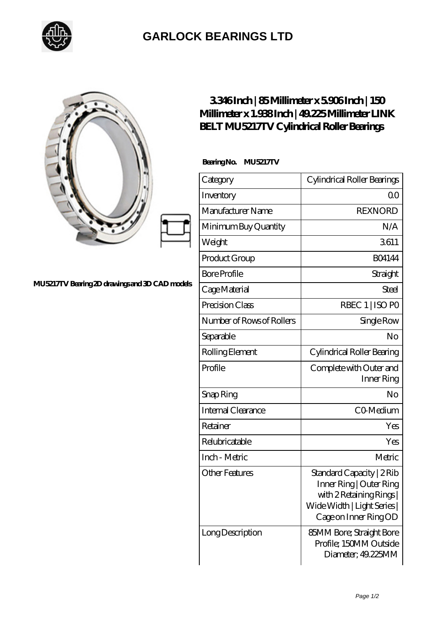

## **[GARLOCK BEARINGS LTD](https://m.letterstopriests.com)**

## **[MU5217TV Bearing 2D drawings and 3D CAD models](https://m.letterstopriests.com/pic-188543.html)**

## **[3.346 Inch | 85 Millimeter x 5.906 Inch | 150](https://m.letterstopriests.com/bz-188543-link-belt-mu5217tv-cylindrical-roller-bearings.html) [Millimeter x 1.938 Inch | 49.225 Millimeter LINK](https://m.letterstopriests.com/bz-188543-link-belt-mu5217tv-cylindrical-roller-bearings.html) [BELT MU5217TV Cylindrical Roller Bearings](https://m.letterstopriests.com/bz-188543-link-belt-mu5217tv-cylindrical-roller-bearings.html)**

 **Bearing No. MU5217TV**

| Category                  | Cylindrical Roller Bearings                                                                                                            |
|---------------------------|----------------------------------------------------------------------------------------------------------------------------------------|
| Inventory                 | Q0                                                                                                                                     |
| Manufacturer Name         | <b>REXNORD</b>                                                                                                                         |
| Minimum Buy Quantity      | N/A                                                                                                                                    |
| Weight                    | 3611                                                                                                                                   |
| Product Group             | <b>BO4144</b>                                                                                                                          |
| <b>Bore Profile</b>       | Straight                                                                                                                               |
| Cage Material             | Steel                                                                                                                                  |
| Precision Class           | RBEC 1   ISO PO                                                                                                                        |
| Number of Rows of Rollers | Single Row                                                                                                                             |
| Separable                 | No                                                                                                                                     |
| Rolling Element           | Cylindrical Roller Bearing                                                                                                             |
| Profile                   | Complete with Outer and<br>Inner Ring                                                                                                  |
| Snap Ring                 | No                                                                                                                                     |
| <b>Internal Clearance</b> | CO-Medium                                                                                                                              |
| Retainer                  | Yes                                                                                                                                    |
| Relubricatable            | Yes                                                                                                                                    |
| Inch - Metric             | Metric                                                                                                                                 |
| Other Features            | Standard Capacity   2 Rib<br>Inner Ring   Outer Ring<br>with 2 Retaining Rings<br>Wide Width   Light Series  <br>Cage on Inner Ring OD |
| Long Description          | 85MM Bore; Straight Bore<br>Profile; 150MM Outside<br>Diameter; 49.225MM                                                               |